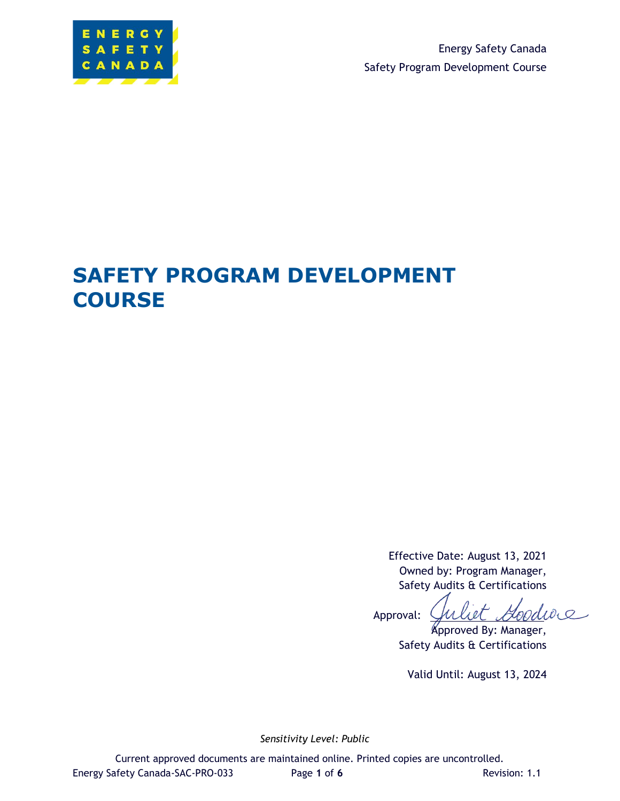

Energy Safety Canada Safety Program Development Course

# **SAFETY PROGRAM DEVELOPMENT COURSE**

Effective Date: August 13, 2021 Owned by: Program Manager, Safety Audits & Certifications

i et Goodwe Approval:

Approved By: Manager, Safety Audits & Certifications

Valid Until: August 13, 2024

*Sensitivity Level: Public*

Current approved documents are maintained online. Printed copies are uncontrolled. Energy Safety Canada-SAC-PRO-033 Page 1 of 6 Revision: 1.1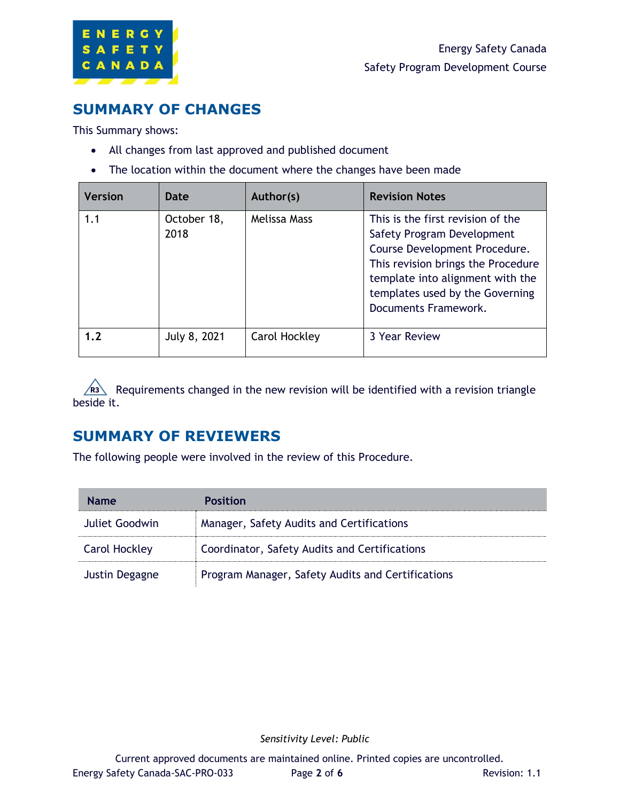

## <span id="page-1-0"></span>**SUMMARY OF CHANGES**

This Summary shows:

- All changes from last approved and published document
- The location within the document where the changes have been made

| <b>Version</b> | Date                | Author(s)     | <b>Revision Notes</b>                                                                                                                                                                                                                 |
|----------------|---------------------|---------------|---------------------------------------------------------------------------------------------------------------------------------------------------------------------------------------------------------------------------------------|
| 1.1            | October 18,<br>2018 | Melissa Mass  | This is the first revision of the<br>Safety Program Development<br>Course Development Procedure.<br>This revision brings the Procedure<br>template into alignment with the<br>templates used by the Governing<br>Documents Framework. |
| 1.2            | July 8, 2021        | Carol Hockley | 3 Year Review                                                                                                                                                                                                                         |

Requirements changed in the new revision will be identified with a revision triangle beside it.

### <span id="page-1-1"></span>**SUMMARY OF REVIEWERS**

The following people were involved in the review of this Procedure.

| <b>Name</b>          | <b>Position</b>                                   |
|----------------------|---------------------------------------------------|
| Juliet Goodwin       | Manager, Safety Audits and Certifications         |
| <b>Carol Hockley</b> | Coordinator, Safety Audits and Certifications     |
| Justin Degagne       | Program Manager, Safety Audits and Certifications |

*Sensitivity Level: Public*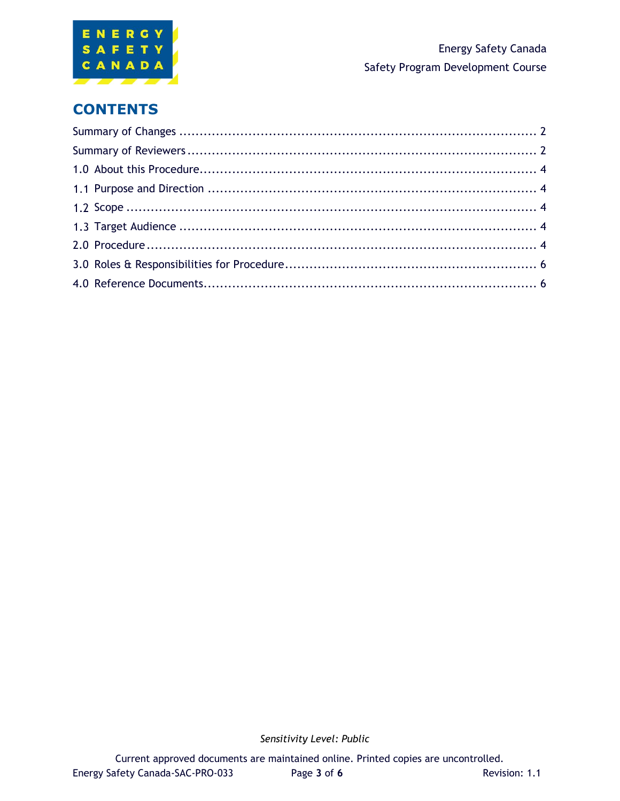

# **CONTENTS**

*Sensitivity Level: Public*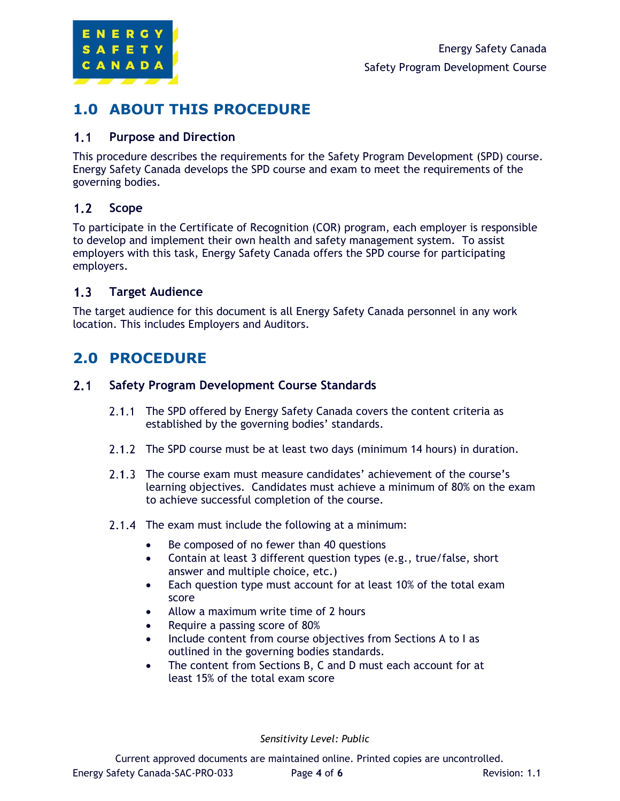

### <span id="page-3-0"></span>**1.0 ABOUT THIS PROCEDURE**

#### <span id="page-3-1"></span> $1.1$ **Purpose and Direction**

This procedure describes the requirements for the Safety Program Development (SPD) course. Energy Safety Canada develops the SPD course and exam to meet the requirements of the governing bodies.

#### <span id="page-3-2"></span> $1.2$ **Scope**

To participate in the Certificate of Recognition (COR) program, each employer is responsible to develop and implement their own health and safety management system. To assist employers with this task, Energy Safety Canada offers the SPD course for participating employers.

#### <span id="page-3-3"></span> $1.3<sub>1</sub>$ **Target Audience**

The target audience for this document is all Energy Safety Canada personnel in any work location. This includes Employers and Auditors.

# <span id="page-3-4"></span>**2.0 PROCEDURE**

#### $2.1$ **Safety Program Development Course Standards**

- 2.1.1 The SPD offered by Energy Safety Canada covers the content criteria as established by the governing bodies' standards.
- 2.1.2 The SPD course must be at least two days (minimum 14 hours) in duration.
- 2.1.3 The course exam must measure candidates' achievement of the course's learning objectives. Candidates must achieve a minimum of 80% on the exam to achieve successful completion of the course.
- 2.1.4 The exam must include the following at a minimum:
	- Be composed of no fewer than 40 questions
	- Contain at least 3 different question types (e.g., true/false, short answer and multiple choice, etc.)
	- Each question type must account for at least 10% of the total exam score
	- Allow a maximum write time of 2 hours
	- Require a passing score of 80%
	- Include content from course objectives from Sections A to I as outlined in the governing bodies standards.
	- The content from Sections B, C and D must each account for at least 15% of the total exam score

*Sensitivity Level: Public*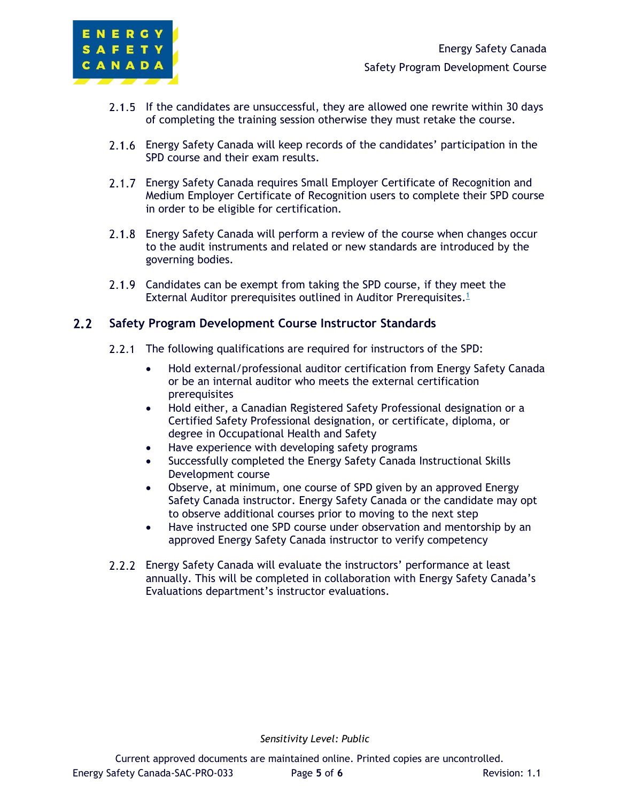

- 2.1.5 If the candidates are unsuccessful, they are allowed one rewrite within 30 days of completing the training session otherwise they must retake the course.
- Energy Safety Canada will keep records of the candidates' participation in the SPD course and their exam results.
- 2.1.7 Energy Safety Canada requires Small Employer Certificate of Recognition and Medium Employer Certificate of Recognition users to complete their SPD course in order to be eligible for certification.
- Energy Safety Canada will perform a review of the course when changes occur  $2.1.8$ to the audit instruments and related or new standards are introduced by the governing bodies.
- 2.1.9 Candidates can be exempt from taking the SPD course, if they meet the External Auditor prerequisites outlined in Auditor Prerequisites.<sup>1</sup>

#### $2.2$ **Safety Program Development Course Instructor Standards**

- 2.2.1 The following qualifications are required for instructors of the SPD:
	- Hold external/professional auditor certification from Energy Safety Canada or be an internal auditor who meets the external certification prerequisites
	- Hold either, a Canadian Registered Safety Professional designation or a Certified Safety Professional designation, or certificate, diploma, or degree in Occupational Health and Safety
	- Have experience with developing safety programs
	- Successfully completed the Energy Safety Canada Instructional Skills Development course
	- Observe, at minimum, one course of SPD given by an approved Energy Safety Canada instructor. Energy Safety Canada or the candidate may opt to observe additional courses prior to moving to the next step
	- Have instructed one SPD course under observation and mentorship by an approved Energy Safety Canada instructor to verify competency
- Energy Safety Canada will evaluate the instructors' performance at least annually. This will be completed in collaboration with Energy Safety Canada's Evaluations department's instructor evaluations.